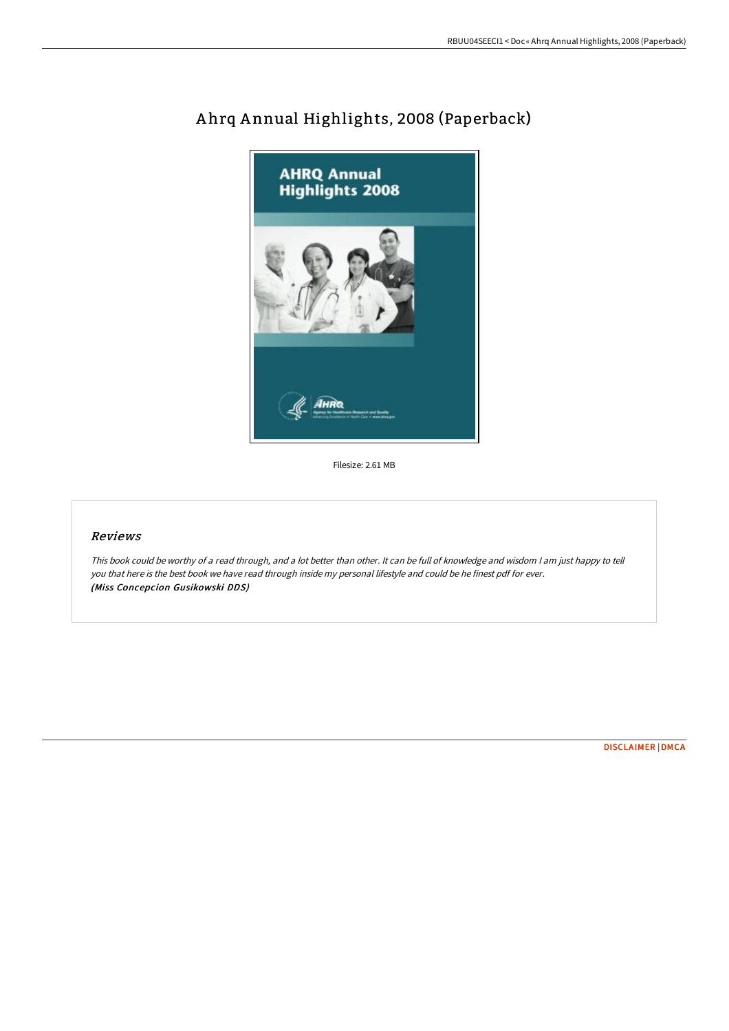

## A hrq A nnual Highlights, 2008 (Paperback)

Filesize: 2.61 MB

## Reviews

This book could be worthy of <sup>a</sup> read through, and <sup>a</sup> lot better than other. It can be full of knowledge and wisdom <sup>I</sup> am just happy to tell you that here is the best book we have read through inside my personal lifestyle and could be he finest pdf for ever. (Miss Concepcion Gusikowski DDS)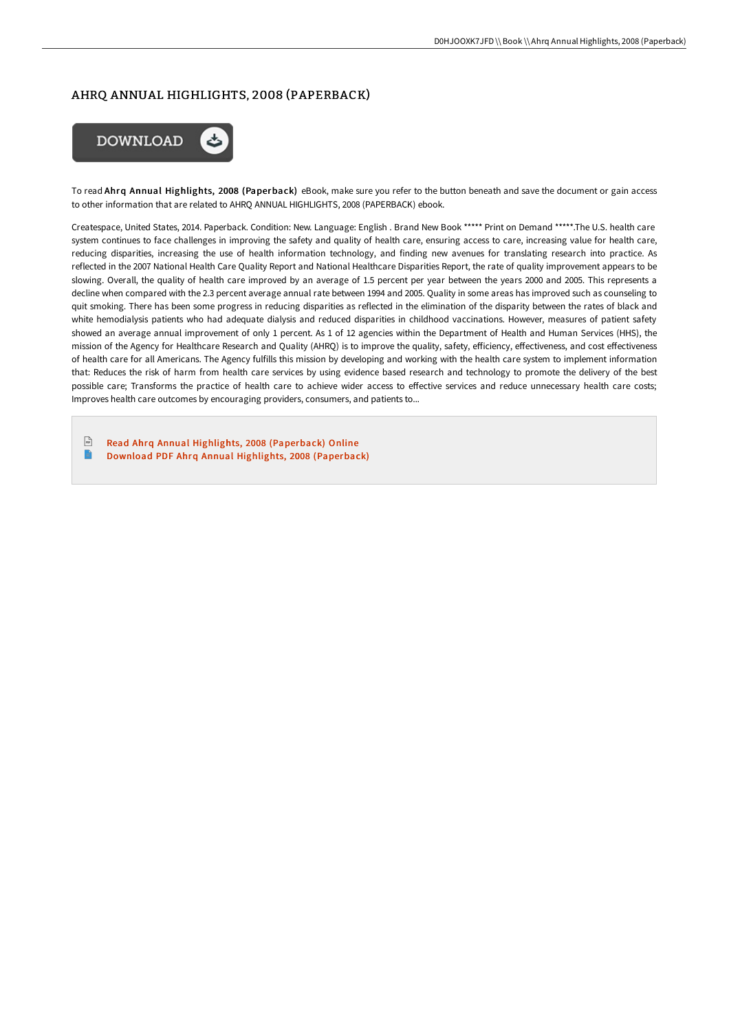## AHRQ ANNUAL HIGHLIGHTS, 2008 (PAPERBACK)



To read Ahrq Annual Highlights, 2008 (Paperback) eBook, make sure you refer to the button beneath and save the document or gain access to other information that are related to AHRQ ANNUAL HIGHLIGHTS, 2008 (PAPERBACK) ebook.

Createspace, United States, 2014. Paperback. Condition: New. Language: English . Brand New Book \*\*\*\*\* Print on Demand \*\*\*\*\*.The U.S. health care system continues to face challenges in improving the safety and quality of health care, ensuring access to care, increasing value for health care, reducing disparities, increasing the use of health information technology, and finding new avenues for translating research into practice. As reflected in the 2007 National Health Care Quality Report and National Healthcare Disparities Report, the rate of quality improvement appears to be slowing. Overall, the quality of health care improved by an average of 1.5 percent per year between the years 2000 and 2005. This represents a decline when compared with the 2.3 percent average annual rate between 1994 and 2005. Quality in some areas has improved such as counseling to quit smoking. There has been some progress in reducing disparities as reflected in the elimination of the disparity between the rates of black and white hemodialysis patients who had adequate dialysis and reduced disparities in childhood vaccinations. However, measures of patient safety showed an average annual improvement of only 1 percent. As 1 of 12 agencies within the Department of Health and Human Services (HHS), the mission of the Agency for Healthcare Research and Quality (AHRQ) is to improve the quality, safety, efficiency, effectiveness, and cost effectiveness of health care for all Americans. The Agency fulfills this mission by developing and working with the health care system to implement information that: Reduces the risk of harm from health care services by using evidence based research and technology to promote the delivery of the best possible care; Transforms the practice of health care to achieve wider access to effective services and reduce unnecessary health care costs; Improves health care outcomes by encouraging providers, consumers, and patients to...

 $\frac{1}{16}$ Read Ahrq Annual Highlights, 2008 [\(Paperback\)](http://albedo.media/ahrq-annual-highlights-2008-paperback.html) Online  $\blacksquare$ Download PDF Ahrq Annual Highlights, 2008 [\(Paperback\)](http://albedo.media/ahrq-annual-highlights-2008-paperback.html)